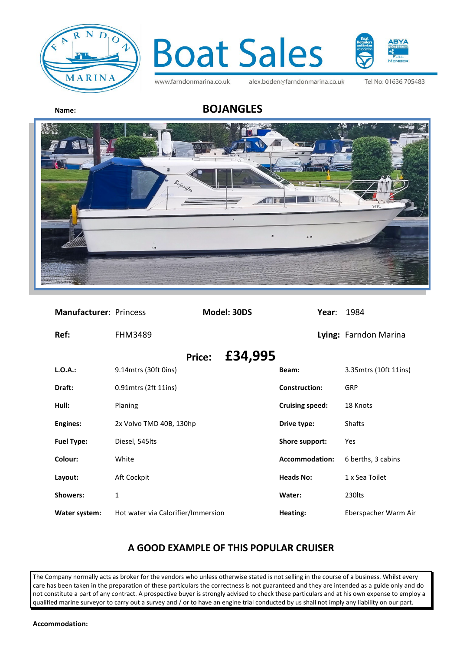



www.farndonmarina.co.uk

alex.boden@farndonmarina.co.uk

Tel No: 01636 705483

## **Name: BOJANGLES**



| <b>Manufacturer: Princess</b> |                                    | Model: 30DS              | Year:                  | 1984                  |
|-------------------------------|------------------------------------|--------------------------|------------------------|-----------------------|
| Ref:                          | <b>FHM3489</b>                     |                          |                        | Lying: Farndon Marina |
|                               |                                    | £34,995<br><b>Price:</b> |                        |                       |
| $L.O.A.$ :                    | 9.14 mtrs (30ft 0ins)              |                          | Beam:                  | 3.35mtrs (10ft 11ins) |
| Draft:                        | 0.91 mtrs (2ft 11 ins)             |                          | <b>Construction:</b>   | GRP                   |
| Hull:                         | Planing                            |                          | <b>Cruising speed:</b> | 18 Knots              |
| <b>Engines:</b>               | 2x Volvo TMD 40B, 130hp            |                          | Drive type:            | Shafts                |
| <b>Fuel Type:</b>             | Diesel, 545lts                     |                          | Shore support:         | Yes                   |
| Colour:                       | White                              |                          | Accommodation:         | 6 berths, 3 cabins    |
| Layout:                       | Aft Cockpit                        |                          | <b>Heads No:</b>       | 1 x Sea Toilet        |
| <b>Showers:</b>               | 1                                  |                          | Water:                 | 230lts                |
| Water system:                 | Hot water via Calorifier/Immersion |                          | Heating:               | Eberspacher Warm Air  |

## **A GOOD EXAMPLE OF THIS POPULAR CRUISER**

The Company normally acts as broker for the vendors who unless otherwise stated is not selling in the course of a business. Whilst every care has been taken in the preparation of these particulars the correctness is not guaranteed and they are intended as a guide only and do not constitute a part of any contract. A prospective buyer is strongly advised to check these particulars and at his own expense to employ a qualified marine surveyor to carry out a survey and / or to have an engine trial conducted by us shall not imply any liability on our part.